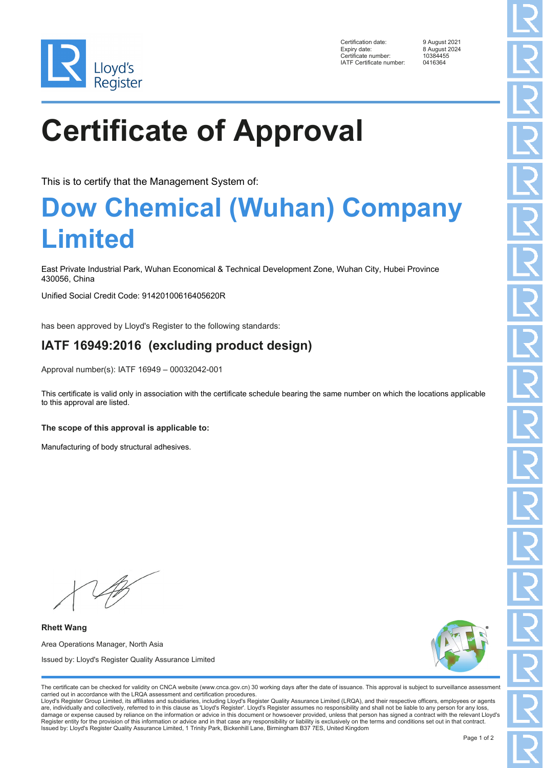

Certification date: 9 August 2021 Expiry date: 8 August 2024<br>Certificate number: 10384455 Ency Enter<br>Certificate number: 1038445<br>IATE Certificate number: 0416364 IATF Certificate number:

# **Certificate of Approval**

This is to certify that the Management System of:

### **Dow Chemical (Wuhan) Company Limited**

East Private Industrial Park, Wuhan Economical & Technical Development Zone, Wuhan City, Hubei Province 430056, China

Unified Social Credit Code: 91420100616405620R

has been approved by Lloyd's Register to the following standards:

### **IATF 16949:2016 (excluding product design)**

Approval number(s): IATF 16949 – 00032042-001

This certificate is valid only in association with the certificate schedule bearing the same number on which the locations applicable to this approval are listed.

**The scope of this approval is applicable to:**

Manufacturing of body structural adhesives.

**Rhett Wang** Area Operations Manager, North Asia Issued by: Lloyd's Register Quality Assurance Limited



The certificate can be checked for validity on CNCA website (www.cnca.gov.cn) 30 working days after the date of issuance. This approval is subject to surveillance assessment carried out in accordance with the LRQA assessment and certification procedures.

Lloyd's Register Group Limited, its affiliates and subsidiaries, including Lloyd's Register Quality Assurance Limited (LRQA), and their respective officers, employees or agents are, individually and collectively, referred to in this clause as 'Lloyd's Register'. Lloyd's Register assumes no responsibility and shall not be liable to any person for any loss,<br>damage or expense caused by reliance on t Register entity for the provision of this information or advice and in that case any responsibility or liability is exclusively on the terms and conditions set out in that contract. Issued by: Lloyd's Register Quality Assurance Limited, 1 Trinity Park, Bickenhill Lane, Birmingham B37 7ES, United Kingdom